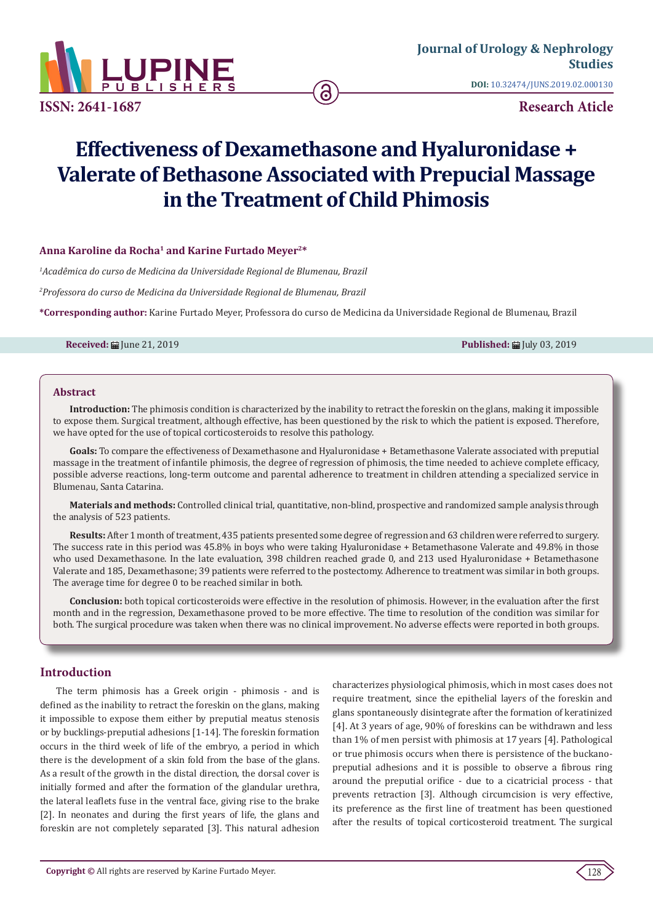

**ISSN: 2641-1687**

**DOI:** [10.32474/JUNS.2019.02.000130](http://dx.doi.org/10.32474/JUNS.2019.02.000130)

**Research Aticle**

# **Effectiveness of Dexamethasone and Hyaluronidase + Valerate of Bethasone Associated with Prepucial Massage in the Treatment of Child Phimosis**

## Anna Karoline da Rocha<sup>1</sup> and Karine Furtado Meyer<sup>2\*</sup>

*1 Acadêmica do curso de Medicina da Universidade Regional de Blumenau, Brazil*

*2 Professora do curso de Medicina da Universidade Regional de Blumenau, Brazil*

**\*Corresponding author:** Karine Furtado Meyer, Professora do curso de Medicina da Universidade Regional de Blumenau, Brazil

**Received:** ■ June 21, 2019 **Published: ■ July 03, 2019 Published: ■ July 03, 2019** 

#### **Abstract**

**Introduction:** The phimosis condition is characterized by the inability to retract the foreskin on the glans, making it impossible to expose them. Surgical treatment, although effective, has been questioned by the risk to which the patient is exposed. Therefore, we have opted for the use of topical corticosteroids to resolve this pathology.

**Goals:** To compare the effectiveness of Dexamethasone and Hyaluronidase + Betamethasone Valerate associated with preputial massage in the treatment of infantile phimosis, the degree of regression of phimosis, the time needed to achieve complete efficacy, possible adverse reactions, long-term outcome and parental adherence to treatment in children attending a specialized service in Blumenau, Santa Catarina.

**Materials and methods:** Controlled clinical trial, quantitative, non-blind, prospective and randomized sample analysis through the analysis of 523 patients.

**Results:** After 1 month of treatment, 435 patients presented some degree of regression and 63 children were referred to surgery. The success rate in this period was 45.8% in boys who were taking Hyaluronidase + Betamethasone Valerate and 49.8% in those who used Dexamethasone. In the late evaluation, 398 children reached grade 0, and 213 used Hyaluronidase + Betamethasone Valerate and 185, Dexamethasone; 39 patients were referred to the postectomy. Adherence to treatment was similar in both groups. The average time for degree 0 to be reached similar in both.

**Conclusion:** both topical corticosteroids were effective in the resolution of phimosis. However, in the evaluation after the first month and in the regression, Dexamethasone proved to be more effective. The time to resolution of the condition was similar for both. The surgical procedure was taken when there was no clinical improvement. No adverse effects were reported in both groups.

# **Introduction**

The term phimosis has a Greek origin - phimosis - and is defined as the inability to retract the foreskin on the glans, making it impossible to expose them either by preputial meatus stenosis or by bucklings-preputial adhesions [1-14]. The foreskin formation occurs in the third week of life of the embryo, a period in which there is the development of a skin fold from the base of the glans. As a result of the growth in the distal direction, the dorsal cover is initially formed and after the formation of the glandular urethra, the lateral leaflets fuse in the ventral face, giving rise to the brake [2]. In neonates and during the first years of life, the glans and foreskin are not completely separated [3]. This natural adhesion

characterizes physiological phimosis, which in most cases does not require treatment, since the epithelial layers of the foreskin and glans spontaneously disintegrate after the formation of keratinized [4]. At 3 years of age, 90% of foreskins can be withdrawn and less than 1% of men persist with phimosis at 17 years [4]. Pathological or true phimosis occurs when there is persistence of the buckanopreputial adhesions and it is possible to observe a fibrous ring around the preputial orifice - due to a cicatricial process - that prevents retraction [3]. Although circumcision is very effective, its preference as the first line of treatment has been questioned after the results of topical corticosteroid treatment. The surgical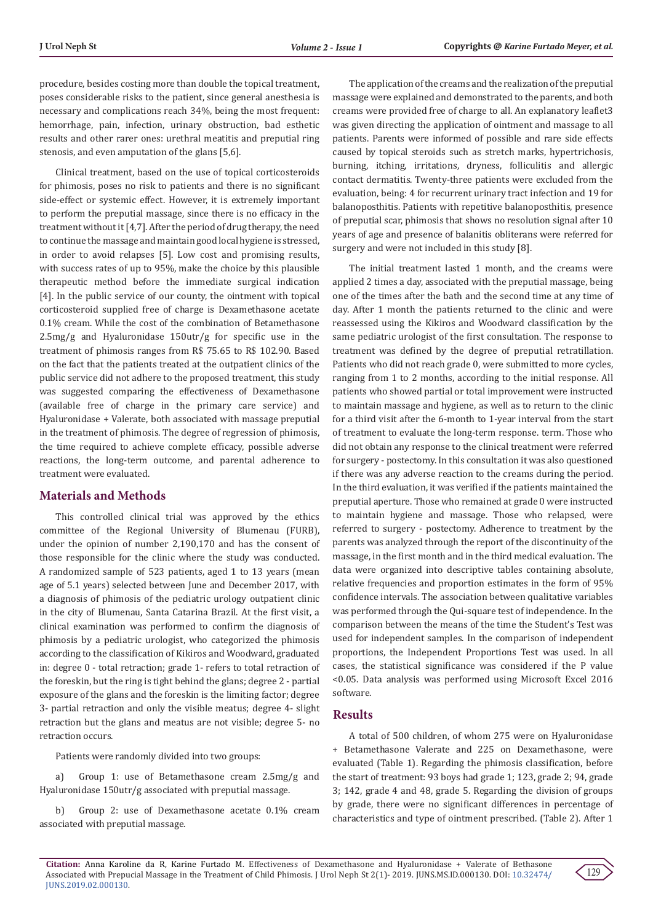procedure, besides costing more than double the topical treatment, poses considerable risks to the patient, since general anesthesia is necessary and complications reach 34%, being the most frequent: hemorrhage, pain, infection, urinary obstruction, bad esthetic results and other rarer ones: urethral meatitis and preputial ring stenosis, and even amputation of the glans [5,6].

Clinical treatment, based on the use of topical corticosteroids for phimosis, poses no risk to patients and there is no significant side-effect or systemic effect. However, it is extremely important to perform the preputial massage, since there is no efficacy in the treatment without it [4,7]. After the period of drug therapy, the need to continue the massage and maintain good local hygiene is stressed, in order to avoid relapses [5]. Low cost and promising results, with success rates of up to 95%, make the choice by this plausible therapeutic method before the immediate surgical indication [4]. In the public service of our county, the ointment with topical corticosteroid supplied free of charge is Dexamethasone acetate 0.1% cream. While the cost of the combination of Betamethasone 2.5mg/g and Hyaluronidase 150utr/g for specific use in the treatment of phimosis ranges from R\$ 75.65 to R\$ 102.90. Based on the fact that the patients treated at the outpatient clinics of the public service did not adhere to the proposed treatment, this study was suggested comparing the effectiveness of Dexamethasone (available free of charge in the primary care service) and Hyaluronidase + Valerate, both associated with massage preputial in the treatment of phimosis. The degree of regression of phimosis, the time required to achieve complete efficacy, possible adverse reactions, the long-term outcome, and parental adherence to treatment were evaluated.

# **Materials and Methods**

This controlled clinical trial was approved by the ethics committee of the Regional University of Blumenau (FURB), under the opinion of number 2,190,170 and has the consent of those responsible for the clinic where the study was conducted. A randomized sample of 523 patients, aged 1 to 13 years (mean age of 5.1 years) selected between June and December 2017, with a diagnosis of phimosis of the pediatric urology outpatient clinic in the city of Blumenau, Santa Catarina Brazil. At the first visit, a clinical examination was performed to confirm the diagnosis of phimosis by a pediatric urologist, who categorized the phimosis according to the classification of Kikiros and Woodward, graduated in: degree 0 - total retraction; grade 1- refers to total retraction of the foreskin, but the ring is tight behind the glans; degree 2 - partial exposure of the glans and the foreskin is the limiting factor; degree 3- partial retraction and only the visible meatus; degree 4- slight retraction but the glans and meatus are not visible; degree 5- no retraction occurs.

Patients were randomly divided into two groups:

a) Group 1: use of Betamethasone cream 2.5mg/g and Hyaluronidase 150utr/g associated with preputial massage.

b) Group 2: use of Dexamethasone acetate 0.1% cream associated with preputial massage.

The application of the creams and the realization of the preputial massage were explained and demonstrated to the parents, and both creams were provided free of charge to all. An explanatory leaflet3 was given directing the application of ointment and massage to all patients. Parents were informed of possible and rare side effects caused by topical steroids such as stretch marks, hypertrichosis, burning, itching, irritations, dryness, folliculitis and allergic contact dermatitis. Twenty-three patients were excluded from the evaluation, being: 4 for recurrent urinary tract infection and 19 for balanoposthitis. Patients with repetitive balanoposthitis, presence of preputial scar, phimosis that shows no resolution signal after 10 years of age and presence of balanitis obliterans were referred for surgery and were not included in this study [8].

The initial treatment lasted 1 month, and the creams were applied 2 times a day, associated with the preputial massage, being one of the times after the bath and the second time at any time of day. After 1 month the patients returned to the clinic and were reassessed using the Kikiros and Woodward classification by the same pediatric urologist of the first consultation. The response to treatment was defined by the degree of preputial retratillation. Patients who did not reach grade 0, were submitted to more cycles, ranging from 1 to 2 months, according to the initial response. All patients who showed partial or total improvement were instructed to maintain massage and hygiene, as well as to return to the clinic for a third visit after the 6-month to 1-year interval from the start of treatment to evaluate the long-term response. term. Those who did not obtain any response to the clinical treatment were referred for surgery - postectomy. In this consultation it was also questioned if there was any adverse reaction to the creams during the period. In the third evaluation, it was verified if the patients maintained the preputial aperture. Those who remained at grade 0 were instructed to maintain hygiene and massage. Those who relapsed, were referred to surgery - postectomy. Adherence to treatment by the parents was analyzed through the report of the discontinuity of the massage, in the first month and in the third medical evaluation. The data were organized into descriptive tables containing absolute, relative frequencies and proportion estimates in the form of 95% confidence intervals. The association between qualitative variables was performed through the Qui-square test of independence. In the comparison between the means of the time the Student's Test was used for independent samples. In the comparison of independent proportions, the Independent Proportions Test was used. In all cases, the statistical significance was considered if the P value <0.05. Data analysis was performed using Microsoft Excel 2016 software.

# **Results**

A total of 500 children, of whom 275 were on Hyaluronidase + Betamethasone Valerate and 225 on Dexamethasone, were evaluated (Table 1). Regarding the phimosis classification, before the start of treatment: 93 boys had grade 1; 123, grade 2; 94, grade 3; 142, grade 4 and 48, grade 5. Regarding the division of groups by grade, there were no significant differences in percentage of characteristics and type of ointment prescribed. (Table 2). After 1

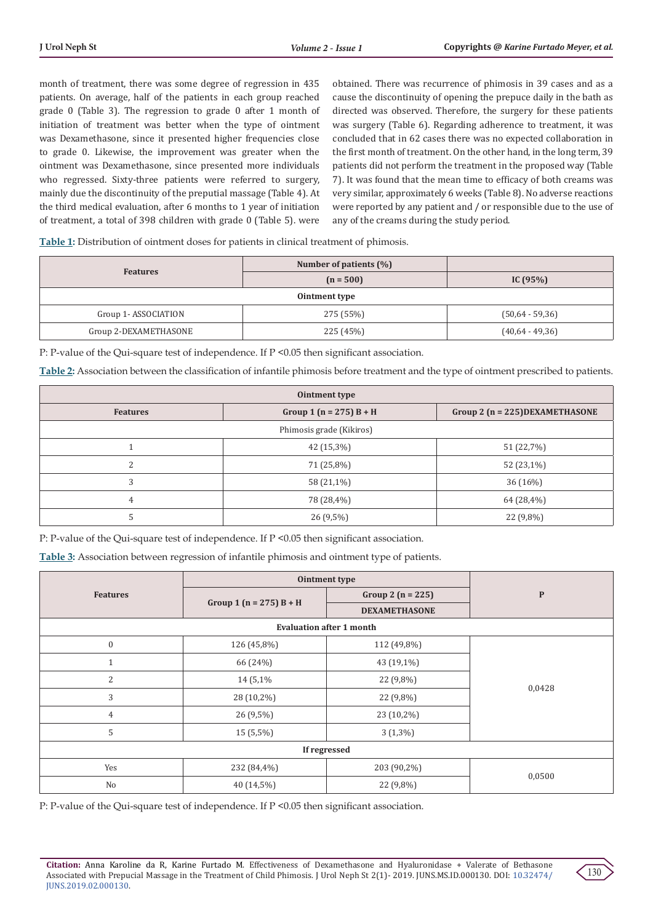month of treatment, there was some degree of regression in 435 patients. On average, half of the patients in each group reached grade 0 (Table 3). The regression to grade 0 after 1 month of initiation of treatment was better when the type of ointment was Dexamethasone, since it presented higher frequencies close to grade 0. Likewise, the improvement was greater when the ointment was Dexamethasone, since presented more individuals who regressed. Sixty-three patients were referred to surgery, mainly due the discontinuity of the preputial massage (Table 4). At the third medical evaluation, after 6 months to 1 year of initiation of treatment, a total of 398 children with grade 0 (Table 5). were

obtained. There was recurrence of phimosis in 39 cases and as a cause the discontinuity of opening the prepuce daily in the bath as directed was observed. Therefore, the surgery for these patients was surgery (Table 6). Regarding adherence to treatment, it was concluded that in 62 cases there was no expected collaboration in the first month of treatment. On the other hand, in the long term, 39 patients did not perform the treatment in the proposed way (Table 7). It was found that the mean time to efficacy of both creams was very similar, approximately 6 weeks (Table 8). No adverse reactions were reported by any patient and / or responsible due to the use of any of the creams during the study period.

**Table 1:** Distribution of ointment doses for patients in clinical treatment of phimosis.

| <b>Features</b>                  | Number of patients $(\%)$ |                   |  |  |
|----------------------------------|---------------------------|-------------------|--|--|
|                                  | $(n = 500)$               | IC $(95%)$        |  |  |
| Ointment type                    |                           |                   |  |  |
| 275 (55%)<br>Group 1-ASSOCIATION |                           | $(50,64 - 59,36)$ |  |  |
| Group 2-DEXAMETHASONE            | 225 (45%)                 | $(40,64 - 49,36)$ |  |  |

P: P-value of the Qui-square test of independence. If P <0.05 then significant association.

**Table 2:** Association between the classification of infantile phimosis before treatment and the type of ointment prescribed to patients.

| Ointment type            |                             |                                     |  |
|--------------------------|-----------------------------|-------------------------------------|--|
| <b>Features</b>          | Group 1 ( $n = 275$ ) B + H | Group 2 ( $n = 225$ ) DEXAMETHASONE |  |
| Phimosis grade (Kikiros) |                             |                                     |  |
|                          | 42 (15,3%)                  | 51 (22,7%)                          |  |
| ∍                        | 71 (25,8%)                  | 52 (23,1%)                          |  |
| 3                        | 58 (21,1%)                  | 36(16%)                             |  |
| 4                        | 78 (28,4%)                  | 64 (28,4%)                          |  |
|                          | $26(9,5\%)$                 | 22 (9,8%)                           |  |

P: P-value of the Qui-square test of independence. If P <0.05 then significant association.

**Table 3:** Association between regression of infantile phimosis and ointment type of patients.

|                 | Ointment type               |                                 |              |
|-----------------|-----------------------------|---------------------------------|--------------|
| <b>Features</b> | Group 1 ( $n = 275$ ) B + H | Group 2 $(n = 225)$             | $\mathbf{P}$ |
|                 |                             | <b>DEXAMETHASONE</b>            |              |
|                 |                             | <b>Evaluation after 1 month</b> |              |
| $\mathbf{0}$    | 126 (45,8%)                 | 112 (49,8%)                     | 0,0428       |
| $\mathbf{1}$    | 66 (24%)                    | 43 (19,1%)                      |              |
| 2               | 14 (5,1%)                   | 22 (9,8%)                       |              |
| 3               | 28 (10,2%)                  | 22 (9,8%)                       |              |
| $\overline{4}$  | 26 (9,5%)                   | 23 (10,2%)                      |              |
| 5               | 15 (5,5%)                   | $3(1,3\%)$                      |              |
| If regressed    |                             |                                 |              |
| Yes             | 232 (84,4%)                 | 203 (90,2%)                     | 0,0500       |
| No              | 40 (14,5%)                  | 22 (9,8%)                       |              |

P: P-value of the Qui-square test of independence. If  $P \le 0.05$  then significant association.

**Citation:** Anna Karoline da R, Karine Furtado M. Effectiveness of Dexamethasone and Hyaluronidase + Valerate of Bethasone Associated with Prepucial Massage in the Treatment of Child Phimosis. J Urol Neph St 2(1)- 2019. JUNS.MS.ID.000130. DOI: [10.32474/](http://dx.doi.org/10.32474/JUNS.2019.02.000130) [JUNS.2019.02.000130](http://dx.doi.org/10.32474/JUNS.2019.02.000130).

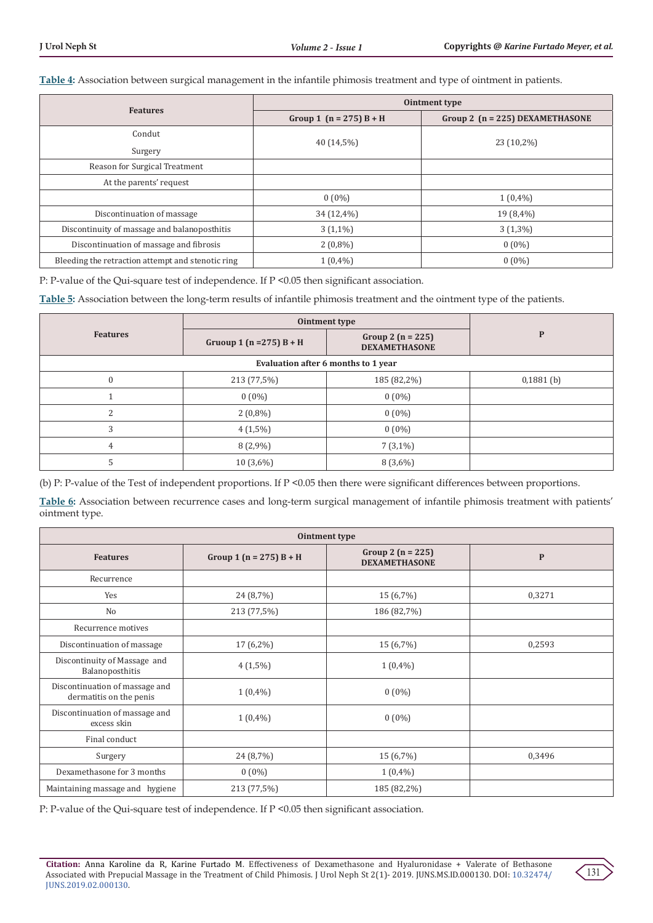**Table 4:** Association between surgical management in the infantile phimosis treatment and type of ointment in patients.

|                                                   | Ointment type               |                                   |  |
|---------------------------------------------------|-----------------------------|-----------------------------------|--|
| <b>Features</b>                                   | Group 1 ( $n = 275$ ) B + H | Group 2 $(n = 225)$ DEXAMETHASONE |  |
| Condut                                            |                             |                                   |  |
| Surgery                                           | 40 (14,5%)                  | 23 (10,2%)                        |  |
| Reason for Surgical Treatment                     |                             |                                   |  |
| At the parents' request                           |                             |                                   |  |
|                                                   | $0(0\%)$                    | $1(0,4\%)$                        |  |
| Discontinuation of massage                        | 34 (12,4%)                  | 19 (8,4%)                         |  |
| Discontinuity of massage and balanoposthitis      | $3(1,1\%)$                  | $3(1,3\%)$                        |  |
| Discontinuation of massage and fibrosis           | $2(0,8\%)$                  | $0(0\%)$                          |  |
| Bleeding the retraction attempt and stenotic ring | $1(0,4\%)$                  | $0(0\%)$                          |  |

P: P-value of the Qui-square test of independence. If P <0.05 then significant association.

**Table 5:** Association between the long-term results of infantile phimosis treatment and the ointment type of the patients.

|                                     | Ointment type                |                                               |              |
|-------------------------------------|------------------------------|-----------------------------------------------|--------------|
| <b>Features</b>                     | Gruoup 1 ( $n = 275$ ) B + H | Group 2 ( $n = 225$ )<br><b>DEXAMETHASONE</b> | $\mathbf{P}$ |
| Evaluation after 6 months to 1 year |                              |                                               |              |
| $\theta$                            | 213 (77,5%)                  | 185 (82,2%)                                   | $0,1881$ (b) |
|                                     | $0(0\%)$                     | $0(0\%)$                                      |              |
| $\mathcal{L}$                       | $2(0,8\%)$                   | $0(0\%)$                                      |              |
| 3                                   | $4(1,5\%)$                   | $0(0\%)$                                      |              |
| $\overline{4}$                      | $8(2,9\%)$                   | $7(3,1\%)$                                    |              |
| 5                                   | $10(3,6\%)$                  | $8(3,6\%)$                                    |              |

(b) P: P-value of the Test of independent proportions. If P <0.05 then there were significant differences between proportions.

**Table 6:** Association between recurrence cases and long-term surgical management of infantile phimosis treatment with patients' ointment type.

| <b>Ointment type</b>                                      |                             |                                               |              |
|-----------------------------------------------------------|-----------------------------|-----------------------------------------------|--------------|
| <b>Features</b>                                           | Group 1 ( $n = 275$ ) B + H | Group 2 ( $n = 225$ )<br><b>DEXAMETHASONE</b> | $\mathbf{P}$ |
| Recurrence                                                |                             |                                               |              |
| Yes                                                       | 24 (8,7%)                   | 15 (6,7%)                                     | 0,3271       |
| No                                                        | 213 (77,5%)                 | 186 (82,7%)                                   |              |
| Recurrence motives                                        |                             |                                               |              |
| Discontinuation of massage                                | $17(6,2\%)$                 | 15 (6,7%)                                     | 0,2593       |
| Discontinuity of Massage and<br>Balanoposthitis           | $4(1,5\%)$                  | $1(0,4\%)$                                    |              |
| Discontinuation of massage and<br>dermatitis on the penis | $1(0,4\%)$                  | $0(0\%)$                                      |              |
| Discontinuation of massage and<br>excess skin             | $1(0,4\%)$                  | $0(0\%)$                                      |              |
| Final conduct                                             |                             |                                               |              |
| Surgery                                                   | 24 (8,7%)                   | 15 (6,7%)                                     | 0,3496       |
| Dexamethasone for 3 months                                | $0(0\%)$                    | $1(0,4\%)$                                    |              |
| Maintaining massage and hygiene                           | 213 (77,5%)                 | 185 (82,2%)                                   |              |

P: P-value of the Qui-square test of independence. If P <0.05 then significant association.

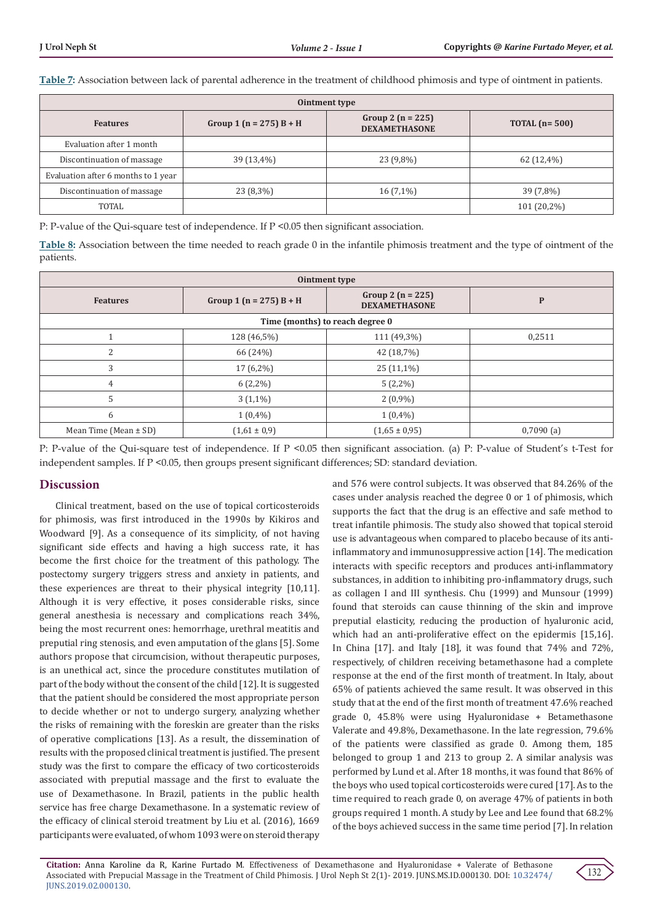**Table 7:** Association between lack of parental adherence in the treatment of childhood phimosis and type of ointment in patients.

| Ointment type                       |                             |                                             |                 |
|-------------------------------------|-----------------------------|---------------------------------------------|-----------------|
| <b>Features</b>                     | Group 1 ( $n = 275$ ) B + H | Group 2 $(n = 225)$<br><b>DEXAMETHASONE</b> | TOTAL $(n=500)$ |
| Evaluation after 1 month            |                             |                                             |                 |
| Discontinuation of massage          | 39 (13,4%)                  | 23 (9,8%)                                   | $62(12,4\%)$    |
| Evaluation after 6 months to 1 year |                             |                                             |                 |
| Discontinuation of massage          | $23(8,3\%)$                 | $16(7,1\%)$                                 | 39 (7,8%)       |
| TOTAL                               |                             |                                             | 101 (20,2%)     |

P: P-value of the Qui-square test of independence. If  $P \le 0.05$  then significant association.

**Table 8:** Association between the time needed to reach grade 0 in the infantile phimosis treatment and the type of ointment of the patients.

| Ointment type                   |                             |                                               |           |
|---------------------------------|-----------------------------|-----------------------------------------------|-----------|
| <b>Features</b>                 | Group 1 ( $n = 275$ ) B + H | Group 2 ( $n = 225$ )<br><b>DEXAMETHASONE</b> | P         |
| Time (months) to reach degree 0 |                             |                                               |           |
|                                 | 128 (46,5%)                 | 111 (49,3%)                                   | 0,2511    |
| 2                               | 66 (24%)                    | 42 (18,7%)                                    |           |
| 3                               | $17(6,2\%)$                 | $25(11,1\%)$                                  |           |
| $\overline{4}$                  | $6(2,2\%)$                  | $5(2,2\%)$                                    |           |
| 5                               | $3(1,1\%)$                  | $2(0,9\%)$                                    |           |
| 6                               | $1(0,4\%)$                  | $1(0,4\%)$                                    |           |
| Mean Time (Mean $\pm$ SD)       | $(1,61 \pm 0,9)$            | $(1,65 \pm 0,95)$                             | 0,7090(a) |

P: P-value of the Qui-square test of independence. If P <0.05 then significant association. (a) P: P-value of Student's t-Test for independent samples. If P <0.05, then groups present significant differences; SD: standard deviation.

# **Discussion**

Clinical treatment, based on the use of topical corticosteroids for phimosis, was first introduced in the 1990s by Kikiros and Woodward [9]. As a consequence of its simplicity, of not having significant side effects and having a high success rate, it has become the first choice for the treatment of this pathology. The postectomy surgery triggers stress and anxiety in patients, and these experiences are threat to their physical integrity [10,11]. Although it is very effective, it poses considerable risks, since general anesthesia is necessary and complications reach 34%, being the most recurrent ones: hemorrhage, urethral meatitis and preputial ring stenosis, and even amputation of the glans [5]. Some authors propose that circumcision, without therapeutic purposes, is an unethical act, since the procedure constitutes mutilation of part of the body without the consent of the child [12]. It is suggested that the patient should be considered the most appropriate person to decide whether or not to undergo surgery, analyzing whether the risks of remaining with the foreskin are greater than the risks of operative complications [13]. As a result, the dissemination of results with the proposed clinical treatment is justified. The present study was the first to compare the efficacy of two corticosteroids associated with preputial massage and the first to evaluate the use of Dexamethasone. In Brazil, patients in the public health service has free charge Dexamethasone. In a systematic review of the efficacy of clinical steroid treatment by Liu et al. (2016), 1669 participants were evaluated, of whom 1093 were on steroid therapy

and 576 were control subjects. It was observed that 84.26% of the cases under analysis reached the degree 0 or 1 of phimosis, which supports the fact that the drug is an effective and safe method to treat infantile phimosis. The study also showed that topical steroid use is advantageous when compared to placebo because of its antiinflammatory and immunosuppressive action [14]. The medication interacts with specific receptors and produces anti-inflammatory substances, in addition to inhibiting pro-inflammatory drugs, such as collagen I and III synthesis. Chu (1999) and Munsour (1999) found that steroids can cause thinning of the skin and improve preputial elasticity, reducing the production of hyaluronic acid, which had an anti-proliferative effect on the epidermis [15,16]. In China [17]. and Italy [18], it was found that 74% and 72%, respectively, of children receiving betamethasone had a complete response at the end of the first month of treatment. In Italy, about 65% of patients achieved the same result. It was observed in this study that at the end of the first month of treatment 47.6% reached grade 0, 45.8% were using Hyaluronidase + Betamethasone Valerate and 49.8%, Dexamethasone. In the late regression, 79.6% of the patients were classified as grade 0. Among them, 185 belonged to group 1 and 213 to group 2. A similar analysis was performed by Lund et al. After 18 months, it was found that 86% of the boys who used topical corticosteroids were cured [17]. As to the time required to reach grade 0, on average 47% of patients in both groups required 1 month. A study by Lee and Lee found that 68.2% of the boys achieved success in the same time period [7]. In relation

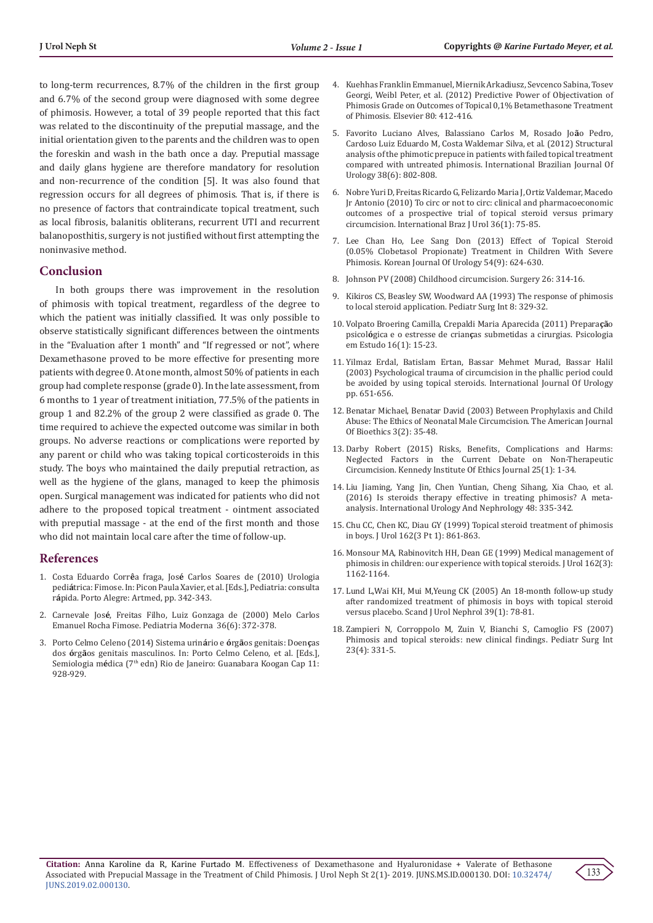to long-term recurrences, 8.7% of the children in the first group and 6.7% of the second group were diagnosed with some degree of phimosis. However, a total of 39 people reported that this fact was related to the discontinuity of the preputial massage, and the initial orientation given to the parents and the children was to open the foreskin and wash in the bath once a day. Preputial massage and daily glans hygiene are therefore mandatory for resolution and non-recurrence of the condition [5]. It was also found that regression occurs for all degrees of phimosis. That is, if there is no presence of factors that contraindicate topical treatment, such as local fibrosis, balanitis obliterans, recurrent UTI and recurrent balanoposthitis, surgery is not justified without first attempting the noninvasive method.

## **Conclusion**

In both groups there was improvement in the resolution of phimosis with topical treatment, regardless of the degree to which the patient was initially classified. It was only possible to observe statistically significant differences between the ointments in the "Evaluation after 1 month" and "If regressed or not", where Dexamethasone proved to be more effective for presenting more patients with degree 0. At one month, almost 50% of patients in each group had complete response (grade 0). In the late assessment, from 6 months to 1 year of treatment initiation, 77.5% of the patients in group 1 and 82.2% of the group 2 were classified as grade 0. The time required to achieve the expected outcome was similar in both groups. No adverse reactions or complications were reported by any parent or child who was taking topical corticosteroids in this study. The boys who maintained the daily preputial retraction, as well as the hygiene of the glans, managed to keep the phimosis open. Surgical management was indicated for patients who did not adhere to the proposed topical treatment - ointment associated with preputial massage - at the end of the first month and those who did not maintain local care after the time of follow-up.

#### **References**

- 1. Costa Eduardo Corr**ê**a fraga, Jos**é** Carlos Soares de (2010) Urologia pedi**á**trica: Fimose. In: Picon Paula Xavier, et al.[Eds.], Pediatria: consulta r**á**pida. Porto Alegre: Artmed, pp. 342-343.
- 2. Carnevale Jos**é**, Freitas Filho, Luiz Gonzaga de (2000) Melo Carlos Emanuel Rocha Fimose. Pediatria Moderna 36(6): 372-378.
- 3. Porto Celmo Celeno (2014) Sistema urin**á**rio e **ó**rg**ã**os genitais: Doen**ç**as dos **ó**rg**ã**os genitais masculinos. In: Porto Celmo Celeno, et al. [Eds.], Semiologia médica (7<sup>th</sup> edn) Rio de Janeiro: Guanabara Koogan Cap 11: 928-929.
- 4. [Kuehhas Franklin Emmanuel, Miernik Arkadiusz, Sevcenco Sabina, Tosev](https://www.ncbi.nlm.nih.gov/pubmed/22749426) [Georgi, Weibl Peter, et al. \(2012\) Predictive Power of Objectivation of](https://www.ncbi.nlm.nih.gov/pubmed/22749426) [Phimosis Grade on Outcomes of Topical 0,1% Betamethasone Treatment](https://www.ncbi.nlm.nih.gov/pubmed/22749426) of Phimosis. [Elsevier 80: 412-416.](https://www.ncbi.nlm.nih.gov/pubmed/22749426)
- 5. [Favorito Luciano Alves, Balassiano Carlos M, Rosado Jo](https://europepmc.org/abstract/med/23302400)**ã**o Pedro, [Cardoso Luiz Eduardo M, Costa Waldemar Silva, et al. \(2012\) Structural](https://europepmc.org/abstract/med/23302400) [analysis of the phimotic prepuce in patients with failed topical treatment](https://europepmc.org/abstract/med/23302400) [compared with untreated phimosis.](https://europepmc.org/abstract/med/23302400) International Brazilian Journal Of [Urology 38\(6\): 802-808.](https://europepmc.org/abstract/med/23302400)
- 6. [Nobre Yuri D, Freitas Ricardo G, Felizardo Maria J, Ortiz Valdemar, Macedo](http://www.scielo.br/scielo.php?script=sci_arttext&pid=S1677-55382010000100012&lng=en&tlng=en) [Jr Antonio \(2010\) To circ or not to circ: clinical and pharmacoeconomic](http://www.scielo.br/scielo.php?script=sci_arttext&pid=S1677-55382010000100012&lng=en&tlng=en) [outcomes of a prospective trial of topical steroid versus primary](http://www.scielo.br/scielo.php?script=sci_arttext&pid=S1677-55382010000100012&lng=en&tlng=en) circumcision. [International Braz J Urol 36\(1\): 75-85.](http://www.scielo.br/scielo.php?script=sci_arttext&pid=S1677-55382010000100012&lng=en&tlng=en)
- 7. [Lee Chan Ho, Lee Sang Don \(2013\) Effect of Topical Steroid](https://www.ncbi.nlm.nih.gov/pubmed/24044098/) [\(0.05% Clobetasol Propionate\) Treatment in Children With Severe](https://www.ncbi.nlm.nih.gov/pubmed/24044098/) Phimosis. [Korean Journal Of Urology 54\(9\): 624-630.](https://www.ncbi.nlm.nih.gov/pubmed/24044098/)
- 8. Johnson PV (2008) Childhood circumcision. Surgery 26: 314-16.
- 9. Kikiros CS, Beasley SW, Woodward AA (1993) The response of phimosis to local steroid application. Pediatr Surg Int 8: 329-32.
- 10. Volpato Broering Camilla, Crepaldi Maria Aparecida (2011) Prepara**çã**o psicol**ó**gica e o estresse de crian**ç**as submetidas a cirurgias. Psicologia em Estudo 16(1): 15-23.
- 11. [Yilmaz Erdal, Batislam Ertan, Bassar Mehmet Murad, Bassar Halil](https://www.ncbi.nlm.nih.gov/pubmed/14633068) [\(2003\) Psychological trauma of circumcision in the phallic period could](https://www.ncbi.nlm.nih.gov/pubmed/14633068) [be avoided by using topical steroids.](https://www.ncbi.nlm.nih.gov/pubmed/14633068) International Journal Of Urology [pp. 651-656.](https://www.ncbi.nlm.nih.gov/pubmed/14633068)
- 12. [Benatar Michael, Benatar David \(2003\) Between Prophylaxis and Child](https://www.tandfonline.com/doi/abs/10.1162/152651603766436216) [Abuse: The Ethics of Neonatal Male Circumcision.](https://www.tandfonline.com/doi/abs/10.1162/152651603766436216) The American Journal [Of Bioethics 3\(2\): 35-48.](https://www.tandfonline.com/doi/abs/10.1162/152651603766436216)
- 13. Darby Robert (2015) Risks, Benefits, Complications and Harms: Neglected Factors in the Current Debate on Non-Therapeutic Circumcision. Kennedy Institute Of Ethics Journal 25(1): 1-34.
- 14. [Liu Jiaming, Yang Jin, Chen Yuntian, Cheng Sihang, Xia Chao, et al.](http://europepmc.org/abstract/med/26725071) [\(2016\) Is steroids therapy effective in treating phimosis? A meta](http://europepmc.org/abstract/med/26725071)analysis. [International Urology And Nephrology 48: 335-342.](http://europepmc.org/abstract/med/26725071)
- 15. [Chu CC, Chen KC, Diau GY \(1999\) Topical steroid treatment of phimosis](https://www.ncbi.nlm.nih.gov/pubmed/10458396) [in boys. J Urol 162\(3 Pt 1\): 861-863.](https://www.ncbi.nlm.nih.gov/pubmed/10458396)
- 16. [Monsour MA, Rabinovitch HH, Dean GE \(1999\) Medical management of](http://www.cirp.org/library/treatment/phimosis/monsour1/) [phimosis in children: our experience with topical steroids. J Urol 162\(3\):](http://www.cirp.org/library/treatment/phimosis/monsour1/) [1162-1164.](http://www.cirp.org/library/treatment/phimosis/monsour1/)
- 17. [Lund L,Wai KH, Mui M,Yeung CK \(2005\) An 18-month follow-up study](https://www.ncbi.nlm.nih.gov/pubmed/15764277) [after randomized treatment of phimosis in boys with topical steroid](https://www.ncbi.nlm.nih.gov/pubmed/15764277) [versus placebo. Scand J Urol Nephrol 39\(1\): 78-81.](https://www.ncbi.nlm.nih.gov/pubmed/15764277)
- 18. [Zampieri N, Corroppolo M, Zuin V, Bianchi S, Camoglio FS \(2007\)](https://www.ncbi.nlm.nih.gov/pubmed/17308904) [Phimosis and topical steroids: new clinical findings. Pediatr Surg Int](https://www.ncbi.nlm.nih.gov/pubmed/17308904) [23\(4\): 331-5.](https://www.ncbi.nlm.nih.gov/pubmed/17308904)